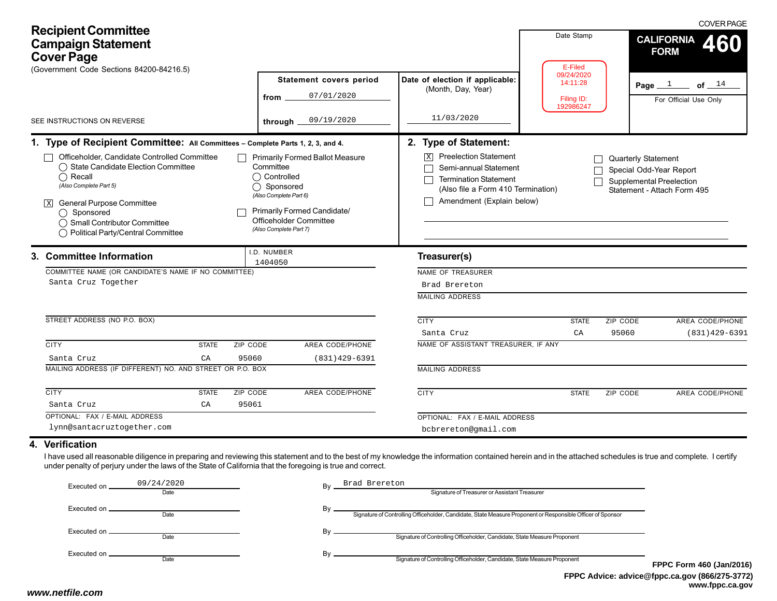| Date Stamp<br><b>CALIFORNIA</b><br>460<br><b>FORM</b><br>E-Filed<br>09/24/2020                                                                                                                                                                                                                             |
|------------------------------------------------------------------------------------------------------------------------------------------------------------------------------------------------------------------------------------------------------------------------------------------------------------|
| Date of election if applicable:<br>14:11:28<br>Page $1$<br>of $\_{\frac{14}{5}}$<br>(Month, Day, Year)<br>Filing ID:<br>For Official Use Only<br>192986247                                                                                                                                                 |
| 11/03/2020                                                                                                                                                                                                                                                                                                 |
| 2. Type of Statement:<br><b>Preelection Statement</b><br>Quarterly Statement<br>Semi-annual Statement<br>Special Odd-Year Report<br><b>Termination Statement</b><br>Supplemental Preelection<br>(Also file a Form 410 Termination)<br>Statement - Attach Form 495<br>Amendment (Explain below)             |
| Treasurer(s)<br><b>NAME OF TREASURER</b><br>Brad Brereton<br><b>MAILING ADDRESS</b>                                                                                                                                                                                                                        |
| <b>CITY</b><br>ZIP CODE<br>AREA CODE/PHONE<br><b>STATE</b><br>95060<br>Santa Cruz<br>CA<br>$(831)429-6391$                                                                                                                                                                                                 |
| NAME OF ASSISTANT TREASURER, IF ANY<br><b>MAILING ADDRESS</b>                                                                                                                                                                                                                                              |
| <b>CITY</b><br><b>STATE</b><br>ZIP CODE<br>AREA CODE/PHONE<br>OPTIONAL: FAX / E-MAIL ADDRESS<br>bcbrereton@gmail.com                                                                                                                                                                                       |
| Statement covers period<br>07/01/2020<br>09/19/2020<br>1. Type of Recipient Committee: All Committees - Complete Parts 1, 2, 3, and 4.<br><b>Primarily Formed Ballot Measure</b><br>Primarily Formed Candidate/<br>Officeholder Committee<br>AREA CODE/PHONE<br>$(831)$ 429-6391<br><b>AREA CODE/PHONE</b> |

| Executed on.   | 09/24/2020 | Bv | Brad Brereton                                                                                               |    |
|----------------|------------|----|-------------------------------------------------------------------------------------------------------------|----|
|                | Date       |    | Signature of Treasurer or Assistant Treasurer                                                               |    |
| Executed on _  | Date       | Bv | Signature of Controlling Officeholder, Candidate, State Measure Proponent or Responsible Officer of Sponsor |    |
| Executed on _  | Date       | Bv | Signature of Controlling Officeholder, Candidate, State Measure Proponent                                   |    |
|                |            |    |                                                                                                             |    |
| Executed on __ | Date       | Bv | Signature of Controlling Officeholder, Candidate, State Measure Proponent                                   | FP |
|                |            |    |                                                                                                             |    |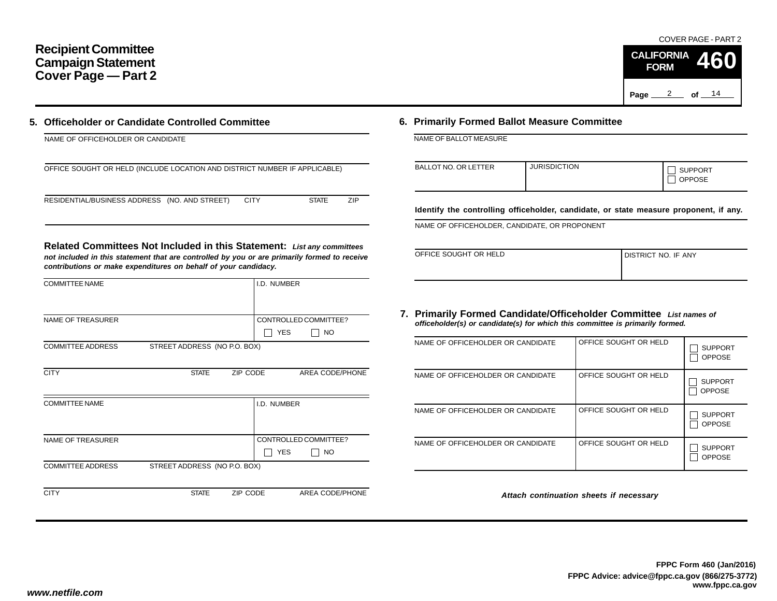### **Recipient Committee Campaign Statement Cover Page — Part 2**

Page <u>2</u> of  $14$ COVER PAGE - PART 2**CALIFORNIA FORM460**

|                                                                 | 5. Officeholder or Candidate Controlled Committee                                                           | 6. Primarily Formed Ballot Measure Committee                                                                 |                     |                   |
|-----------------------------------------------------------------|-------------------------------------------------------------------------------------------------------------|--------------------------------------------------------------------------------------------------------------|---------------------|-------------------|
| NAME OF OFFICEHOLDER OR CANDIDATE                               |                                                                                                             | NAME OF BALLOT MEASURE                                                                                       |                     |                   |
|                                                                 | OFFICE SOUGHT OR HELD (INCLUDE LOCATION AND DISTRICT NUMBER IF APPLICABLE)                                  | <b>BALLOT NO. OR LETTER</b>                                                                                  | <b>JURISDICTION</b> |                   |
| RESIDENTIAL/BUSINESS ADDRESS (NO. AND STREET)                   | <b>CITY</b><br><b>STATE</b><br>ZIP                                                                          | Identify the controlling officeholder, candidate, or st                                                      |                     |                   |
|                                                                 |                                                                                                             | NAME OF OFFICEHOLDER, CANDIDATE, OR PROPONENT                                                                |                     |                   |
|                                                                 | Related Committees Not Included in this Statement: List any committees                                      |                                                                                                              |                     |                   |
| contributions or make expenditures on behalf of your candidacy. | not included in this statement that are controlled by you or are primarily formed to receive<br>I.D. NUMBER | OFFICE SOUGHT OR HELD                                                                                        |                     |                   |
| <b>COMMITTEE NAME</b><br><b>NAME OF TREASURER</b>               | CONTROLLED COMMITTEE?                                                                                       | 7. Primarily Formed Candidate/Officeholder Co<br>officeholder(s) or candidate(s) for which this committee is |                     |                   |
| <b>COMMITTEE ADDRESS</b>                                        | $\Box$ yes<br>$\Box$ No<br>STREET ADDRESS (NO P.O. BOX)                                                     | NAME OF OFFICEHOLDER OR CANDIDATE                                                                            |                     | <b>OFFICE SOU</b> |
| <b>CITY</b>                                                     | ZIP CODE<br>AREA CODE/PHONE<br><b>STATE</b>                                                                 | NAME OF OFFICEHOLDER OR CANDIDATE                                                                            |                     | <b>OFFICE SOU</b> |

□ YES

S ∐NO

CONTROLLED COMMITTEE?

| BALLOT NO. OR LETTER | <b>JURISDICTION</b> | <b>SUPPORT</b><br><b>OPPOSE</b> |
|----------------------|---------------------|---------------------------------|
|                      |                     |                                 |

fficeholder, candidate, or state measure proponent, if any.

| OFFICE SOUGHT OR HELD | I DISTRICT NO. IF ANY |
|-----------------------|-----------------------|
|                       |                       |

#### **7. Primarily Formed Candidate/Officeholder Committee** *List names of* (s) for which this committee is primarily formed.

| NAME OF OFFICEHOLDER OR CANDIDATE | OFFICE SOUGHT OR HELD | <b>SUPPORT</b><br><b>OPPOSE</b> |
|-----------------------------------|-----------------------|---------------------------------|
| NAME OF OFFICEHOLDER OR CANDIDATE | OFFICE SOUGHT OR HELD | <b>SUPPORT</b><br><b>OPPOSE</b> |
| NAME OF OFFICEHOLDER OR CANDIDATE | OFFICE SOUGHT OR HELD | <b>SUPPORT</b><br><b>OPPOSE</b> |
| NAME OF OFFICEHOLDER OR CANDIDATE | OFFICE SOUGHT OR HELD | <b>SUPPORT</b><br><b>OPPOSE</b> |

*Attach continuation sheets if necessary*

NAME OF TREASURER

COMMITTEE ADDRESS STREET ADDRESS (NO P.O. BOX)

**CITY** STATE ZIP CODE AREA CODE/PHONE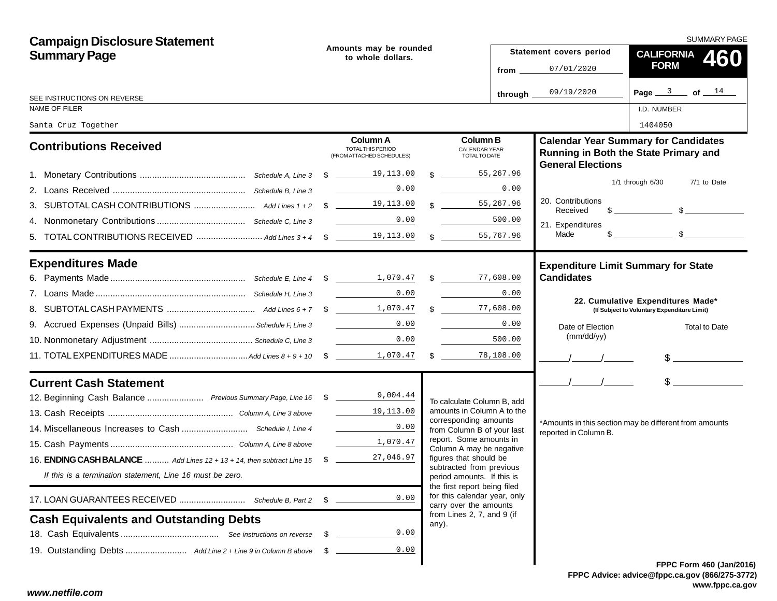| <b>Campaign Disclosure Statement</b>                                            |      |                                                                                               |                                                                                        |           |                                                                                                                                                                                                                                                                                                                     | SUMMARY PAGE                                                                                                                                                                                                                                                                                                        |
|---------------------------------------------------------------------------------|------|-----------------------------------------------------------------------------------------------|----------------------------------------------------------------------------------------|-----------|---------------------------------------------------------------------------------------------------------------------------------------------------------------------------------------------------------------------------------------------------------------------------------------------------------------------|---------------------------------------------------------------------------------------------------------------------------------------------------------------------------------------------------------------------------------------------------------------------------------------------------------------------|
| <b>Summary Page</b>                                                             |      | Amounts may be rounded<br>to whole dollars.                                                   |                                                                                        |           | Statement covers period                                                                                                                                                                                                                                                                                             | CALIFORNIA 460                                                                                                                                                                                                                                                                                                      |
|                                                                                 |      |                                                                                               | from $\overline{\phantom{0}}$                                                          |           | 07/01/2020                                                                                                                                                                                                                                                                                                          | <b>FORM</b>                                                                                                                                                                                                                                                                                                         |
| SEE INSTRUCTIONS ON REVERSE                                                     |      |                                                                                               |                                                                                        | through _ | 09/19/2020                                                                                                                                                                                                                                                                                                          | Page $3$ of $14$                                                                                                                                                                                                                                                                                                    |
| NAME OF FILER                                                                   |      |                                                                                               |                                                                                        |           |                                                                                                                                                                                                                                                                                                                     | I.D. NUMBER                                                                                                                                                                                                                                                                                                         |
| Santa Cruz Together                                                             |      |                                                                                               |                                                                                        |           |                                                                                                                                                                                                                                                                                                                     | 1404050                                                                                                                                                                                                                                                                                                             |
| <b>Contributions Received</b>                                                   |      | <b>Column A</b><br>TOTAL THIS PERIOD<br>(FROM ATTACHED SCHEDULES)                             | <b>Column B</b><br><b>CALENDAR YEAR</b><br>TOTAL TO DATE                               |           | <b>General Elections</b>                                                                                                                                                                                                                                                                                            | <b>Calendar Year Summary for Candidates</b><br>Running in Both the State Primary and                                                                                                                                                                                                                                |
|                                                                                 |      |                                                                                               | \$ 55,267.96                                                                           |           |                                                                                                                                                                                                                                                                                                                     |                                                                                                                                                                                                                                                                                                                     |
|                                                                                 |      | 0.00                                                                                          | 0.00                                                                                   |           |                                                                                                                                                                                                                                                                                                                     | $1/1$ through $6/30$<br>7/1 to Date                                                                                                                                                                                                                                                                                 |
|                                                                                 |      |                                                                                               | \$ 55,267.96                                                                           |           | 20. Contributions<br>Received                                                                                                                                                                                                                                                                                       | $\frac{1}{2}$ $\frac{1}{2}$ $\frac{1}{2}$ $\frac{1}{2}$ $\frac{1}{2}$ $\frac{1}{2}$ $\frac{1}{2}$ $\frac{1}{2}$ $\frac{1}{2}$ $\frac{1}{2}$ $\frac{1}{2}$ $\frac{1}{2}$ $\frac{1}{2}$ $\frac{1}{2}$ $\frac{1}{2}$ $\frac{1}{2}$ $\frac{1}{2}$ $\frac{1}{2}$ $\frac{1}{2}$ $\frac{1}{2}$ $\frac{1}{2}$ $\frac{1}{2}$ |
|                                                                                 |      | 0.00                                                                                          | 500.00                                                                                 |           | 21. Expenditures                                                                                                                                                                                                                                                                                                    |                                                                                                                                                                                                                                                                                                                     |
|                                                                                 |      |                                                                                               | $\frac{1}{2}$ 55,767.96                                                                |           | Made                                                                                                                                                                                                                                                                                                                | $\frac{1}{2}$ $\frac{1}{2}$ $\frac{1}{2}$ $\frac{1}{2}$ $\frac{1}{2}$ $\frac{1}{2}$ $\frac{1}{2}$ $\frac{1}{2}$ $\frac{1}{2}$ $\frac{1}{2}$ $\frac{1}{2}$ $\frac{1}{2}$ $\frac{1}{2}$ $\frac{1}{2}$ $\frac{1}{2}$ $\frac{1}{2}$ $\frac{1}{2}$ $\frac{1}{2}$ $\frac{1}{2}$ $\frac{1}{2}$ $\frac{1}{2}$ $\frac{1}{2}$ |
| <b>Expenditures Made</b>                                                        |      |                                                                                               |                                                                                        |           | <b>Expenditure Limit Summary for State</b>                                                                                                                                                                                                                                                                          |                                                                                                                                                                                                                                                                                                                     |
|                                                                                 |      |                                                                                               |                                                                                        |           | <b>Candidates</b>                                                                                                                                                                                                                                                                                                   |                                                                                                                                                                                                                                                                                                                     |
|                                                                                 |      | 0.00                                                                                          | 0.00                                                                                   |           |                                                                                                                                                                                                                                                                                                                     | 22. Cumulative Expenditures Made*                                                                                                                                                                                                                                                                                   |
|                                                                                 |      |                                                                                               | \$77,608.00                                                                            |           |                                                                                                                                                                                                                                                                                                                     | (If Subject to Voluntary Expenditure Limit)                                                                                                                                                                                                                                                                         |
|                                                                                 |      |                                                                                               | 0.00                                                                                   |           | Date of Election<br>(mm/dd/yy)                                                                                                                                                                                                                                                                                      | Total to Date                                                                                                                                                                                                                                                                                                       |
|                                                                                 |      | 0.00<br>$\mathcal{L}^{\text{max}}_{\text{max}}$ , and $\mathcal{L}^{\text{max}}_{\text{max}}$ | 500.00                                                                                 |           |                                                                                                                                                                                                                                                                                                                     |                                                                                                                                                                                                                                                                                                                     |
|                                                                                 |      |                                                                                               | $\frac{1}{2}$<br>78,108.00                                                             |           | $\frac{1}{2}$ $\frac{1}{2}$ $\frac{1}{2}$ $\frac{1}{2}$ $\frac{1}{2}$ $\frac{1}{2}$ $\frac{1}{2}$ $\frac{1}{2}$ $\frac{1}{2}$ $\frac{1}{2}$ $\frac{1}{2}$ $\frac{1}{2}$ $\frac{1}{2}$ $\frac{1}{2}$ $\frac{1}{2}$ $\frac{1}{2}$ $\frac{1}{2}$ $\frac{1}{2}$ $\frac{1}{2}$ $\frac{1}{2}$ $\frac{1}{2}$ $\frac{1}{2}$ | $\frac{1}{2}$                                                                                                                                                                                                                                                                                                       |
| <b>Current Cash Statement</b>                                                   |      |                                                                                               |                                                                                        |           | $\frac{1}{2}$                                                                                                                                                                                                                                                                                                       | $\frac{1}{2}$                                                                                                                                                                                                                                                                                                       |
| 12. Beginning Cash Balance  Previous Summary Page, Line 16 \$ 1000 1.44         |      |                                                                                               | To calculate Column B, add                                                             |           |                                                                                                                                                                                                                                                                                                                     |                                                                                                                                                                                                                                                                                                                     |
|                                                                                 |      | 19,113.00                                                                                     | amounts in Column A to the<br>corresponding amounts                                    |           |                                                                                                                                                                                                                                                                                                                     |                                                                                                                                                                                                                                                                                                                     |
|                                                                                 |      | 0.00                                                                                          | from Column B of your last                                                             |           | reported in Column B.                                                                                                                                                                                                                                                                                               | *Amounts in this section may be different from amounts                                                                                                                                                                                                                                                              |
|                                                                                 |      | 1,070.47                                                                                      | report. Some amounts in<br>Column A may be negative                                    |           |                                                                                                                                                                                                                                                                                                                     |                                                                                                                                                                                                                                                                                                                     |
| 16. <b>ENDING CASH BALANCE</b> Add Lines 12 + 13 + 14, then subtract Line 15 \$ |      | 27,046.97                                                                                     | figures that should be                                                                 |           |                                                                                                                                                                                                                                                                                                                     |                                                                                                                                                                                                                                                                                                                     |
| If this is a termination statement, Line 16 must be zero.                       |      |                                                                                               | subtracted from previous<br>period amounts. If this is<br>the first report being filed |           |                                                                                                                                                                                                                                                                                                                     |                                                                                                                                                                                                                                                                                                                     |
|                                                                                 | \$   | 0.00                                                                                          | for this calendar year, only<br>carry over the amounts                                 |           |                                                                                                                                                                                                                                                                                                                     |                                                                                                                                                                                                                                                                                                                     |
| <b>Cash Equivalents and Outstanding Debts</b>                                   |      |                                                                                               | from Lines 2, 7, and 9 (if<br>any).                                                    |           |                                                                                                                                                                                                                                                                                                                     |                                                                                                                                                                                                                                                                                                                     |
|                                                                                 | - \$ | 0.00                                                                                          |                                                                                        |           |                                                                                                                                                                                                                                                                                                                     |                                                                                                                                                                                                                                                                                                                     |
|                                                                                 | - \$ | 0.00                                                                                          |                                                                                        |           |                                                                                                                                                                                                                                                                                                                     |                                                                                                                                                                                                                                                                                                                     |
|                                                                                 |      |                                                                                               |                                                                                        |           |                                                                                                                                                                                                                                                                                                                     | <b>FPPC Form 460 (Jan/201)</b>                                                                                                                                                                                                                                                                                      |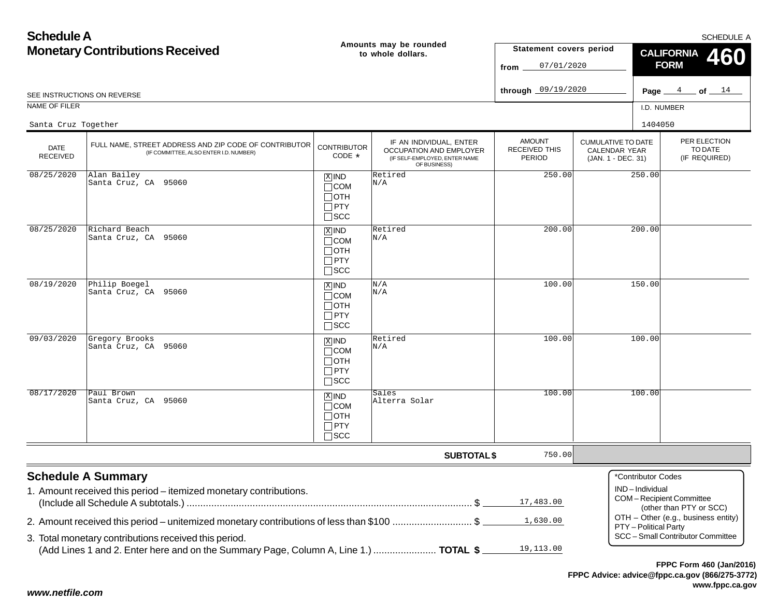| <b>Schedule A</b>              |                                                                                                                                                                                                                                           |                                                                    |                                                                                                     |                                                 |                                                                         |                                      | SCHEDULE A                                                                                    |
|--------------------------------|-------------------------------------------------------------------------------------------------------------------------------------------------------------------------------------------------------------------------------------------|--------------------------------------------------------------------|-----------------------------------------------------------------------------------------------------|-------------------------------------------------|-------------------------------------------------------------------------|--------------------------------------|-----------------------------------------------------------------------------------------------|
|                                | <b>Monetary Contributions Received</b>                                                                                                                                                                                                    |                                                                    | Amounts may be rounded<br>to whole dollars.                                                         | Statement covers period<br>07/01/2020<br>from   |                                                                         |                                      | <b>CALIFORNIA</b><br>460<br><b>FORM</b>                                                       |
|                                | SEE INSTRUCTIONS ON REVERSE                                                                                                                                                                                                               |                                                                    |                                                                                                     | through 09/19/2020                              |                                                                         |                                      | Page $4$ of $14$                                                                              |
| NAME OF FILER                  |                                                                                                                                                                                                                                           |                                                                    |                                                                                                     |                                                 |                                                                         | I.D. NUMBER                          |                                                                                               |
| Santa Cruz Together            |                                                                                                                                                                                                                                           |                                                                    |                                                                                                     |                                                 |                                                                         | 1404050                              |                                                                                               |
| <b>DATE</b><br><b>RECEIVED</b> | FULL NAME, STREET ADDRESS AND ZIP CODE OF CONTRIBUTOR<br>(IF COMMITTEE, ALSO ENTER I.D. NUMBER)                                                                                                                                           | <b>CONTRIBUTOR</b><br>CODE *                                       | IF AN INDIVIDUAL, ENTER<br>OCCUPATION AND EMPLOYER<br>(IF SELF-EMPLOYED, ENTER NAME<br>OF BUSINESS) | <b>AMOUNT</b><br><b>RECEIVED THIS</b><br>PERIOD | <b>CUMULATIVE TO DATE</b><br><b>CALENDAR YEAR</b><br>(JAN. 1 - DEC. 31) |                                      | PER ELECTION<br>TO DATE<br>(IF REQUIRED)                                                      |
| 08/25/2020                     | Alan Bailey<br>Santa Cruz, CA 95060                                                                                                                                                                                                       | $X$ IND<br>$\Box$ COM<br>$\Box$ OTH<br>$\Box$ PTY<br>$\square$ SCC | Retired<br>N/A                                                                                      | 250.00                                          |                                                                         | 250.00                               |                                                                                               |
| 08/25/2020                     | Richard Beach<br>Santa Cruz, CA 95060                                                                                                                                                                                                     | $X$ IND<br>$\Box$ COM<br>$\Box$ OTH<br>$\Box$ PTY<br>$\square$ SCC | Retired<br>N/A                                                                                      | 200.00                                          |                                                                         | 200.00                               |                                                                                               |
| 08/19/2020                     | Philip Boegel<br>Santa Cruz, CA 95060                                                                                                                                                                                                     | $X$ IND<br>$\Box$ COM<br>$\Box$ OTH<br>$\Box$ PTY<br>$\square$ SCC | N/A<br>N/A                                                                                          | 100.00                                          |                                                                         | 150.00                               |                                                                                               |
| 09/03/2020                     | Gregory Brooks<br>Santa Cruz, CA 95060                                                                                                                                                                                                    | $X$ IND<br>$\Box$ COM<br>$\Box$ OTH<br>$\Box$ PTY<br>$\square$ SCC | Retired<br>N/A                                                                                      | 100.00                                          |                                                                         | 100.00                               |                                                                                               |
| 08/17/2020                     | Paul Brown<br>Santa Cruz, CA 95060                                                                                                                                                                                                        | $X$ IND<br>$\Box$ COM<br>$\Box$ OTH<br>$\Box$ PTY<br>$\square$ SCC | Sales<br>Alterra Solar                                                                              | 100.00                                          |                                                                         | 100.00                               |                                                                                               |
|                                |                                                                                                                                                                                                                                           |                                                                    | <b>SUBTOTAL \$</b>                                                                                  | 750.00                                          |                                                                         |                                      |                                                                                               |
|                                | <b>Schedule A Summary</b><br>1. Amount received this period - itemized monetary contributions.                                                                                                                                            |                                                                    |                                                                                                     | 17,483.00                                       |                                                                         | *Contributor Codes<br>IND-Individual | COM-Recipient Committee<br>(other than PTY or SCC)<br>OTH - Other (e.g., business entity)     |
|                                | 2. Amount received this period – unitemized monetary contributions of less than \$100 \$<br>3. Total monetary contributions received this period.<br>(Add Lines 1 and 2. Enter here and on the Summary Page, Column A, Line 1.)  TOTAL \$ |                                                                    |                                                                                                     | 1,630.00<br>19,113.00                           |                                                                         | PTY - Political Party                | SCC - Small Contributor Committee<br>$FDDO$ $F_{2}$ $\ldots$ $APO$ $I$ $I_{2}$ $\ldots$ $POA$ |

**FPPC Advice: advice@fppc.ca.gov (866/275-3772) www.fppc.ca.gov FPPC Form 460 (Jan/2016)**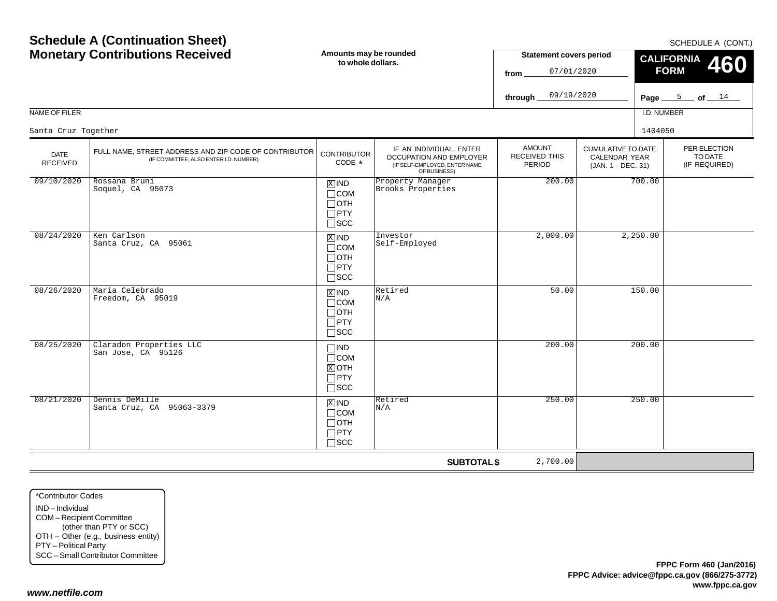|                         | <b>MOTERITY CONTRIBUTIONS</b> RECEIVED                                                          | to whole dollars.                                                  |                                                                                                     | JULIE DE ISLAMICATION DELIVER<br>07/01/2020<br>from. |                                                                  | <b>FORM</b> | <b>CALIFORNIA 460</b>                    |
|-------------------------|-------------------------------------------------------------------------------------------------|--------------------------------------------------------------------|-----------------------------------------------------------------------------------------------------|------------------------------------------------------|------------------------------------------------------------------|-------------|------------------------------------------|
|                         |                                                                                                 |                                                                    |                                                                                                     | 09/19/2020<br>through _                              |                                                                  |             | Page $5$ of $14$                         |
| NAME OF FILER           |                                                                                                 |                                                                    |                                                                                                     |                                                      |                                                                  | I.D. NUMBER |                                          |
| Santa Cruz Together     |                                                                                                 |                                                                    |                                                                                                     |                                                      |                                                                  | 1404050     |                                          |
| <b>DATE</b><br>RECEIVED | FULL NAME, STREET ADDRESS AND ZIP CODE OF CONTRIBUTOR<br>(IF COMMITTEE, ALSO ENTER I.D. NUMBER) | <b>CONTRIBUTOR</b><br>CODE *                                       | IF AN INDIVIDUAL, ENTER<br>OCCUPATION AND EMPLOYER<br>(IF SELF-EMPLOYED, ENTER NAME<br>OF BUSINESS) | <b>AMOUNT</b><br>RECEIVED THIS<br>PERIOD             | <b>CUMULATIVE TO DATE</b><br>CALENDAR YEAR<br>(JAN. 1 - DEC. 31) |             | PER ELECTION<br>TO DATE<br>(IF REQUIRED) |
| 09/10/2020              | Rossana Bruni<br>Soquel, CA 95073                                                               | $X$ IND<br>$\Box$ COM<br>$\Box$ OTH<br>$\Box$ PTY<br>$\Box$ scc    | Property Manager<br>Brooks Properties                                                               | 200.00                                               |                                                                  | 700.00      |                                          |
| 08/24/2020              | Ken Carlson<br>Santa Cruz, CA 95061                                                             | $X$ IND<br>$\Box$ COM<br>$\Box$ OTH<br>$\Box$ PTY<br>$\Box$ SCC    | Investor<br>Self-Employed                                                                           | 2,000.00                                             | 2,250.00                                                         |             |                                          |
| 08/26/2020              | Maria Celebrado<br>Freedom, CA 95019                                                            | $X$ IND<br>$\Box$ COM<br>$\Box$ OTH<br>$\Box$ PTY<br>$\Box$ scc    | Retired<br>N/A                                                                                      | 50.00                                                |                                                                  | 150.00      |                                          |
| 08/25/2020              | Claradon Properties LLC<br>San Jose, CA 95126                                                   | $\Box$ IND<br>$\Box$ COM<br>$X$ OTH<br>$\Box$ PTY<br>$\square$ SCC |                                                                                                     | 200.00                                               |                                                                  | 200.00      |                                          |
| 08/21/2020              | Dennis DeMille<br>Santa Cruz, CA 95063-3379                                                     | $X$ IND<br>$\Box$ COM<br>$\Box$ OTH<br>$\Box$ PTY<br>$\Box$ SCC    | Retired<br>N/A                                                                                      | 250.00                                               |                                                                  | 250.00      |                                          |
|                         |                                                                                                 |                                                                    | <b>SUBTOTAL \$</b>                                                                                  | 2,700.00                                             |                                                                  |             |                                          |

**Amounts may be rounded**

\*Contributor CodesIND – IndividualCOM – Recipient Committee (other than PTY or SCC) OTH – Other (e.g., business entity) PTY – Political Party SCC – Small Contributor Committee

SCHEDULE A (CONT.)

**Statement covers period**

### **Schedule A (Continuation Sheet) Monetary Contributions Received**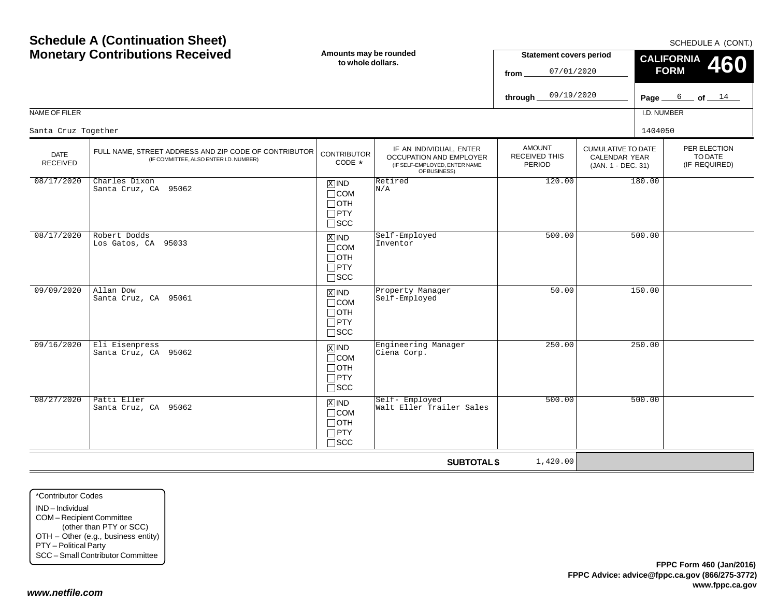|                                | <b>MONGLARY CONTRIBUTIONS RECEIVED</b>                                                          | to whole dollars.                                                  |                                                                                                     | JULIE DE ISLAMICATION DELIVER<br>07/01/2020<br>from. |                                                                  | <b>FORM</b>                              |
|--------------------------------|-------------------------------------------------------------------------------------------------|--------------------------------------------------------------------|-----------------------------------------------------------------------------------------------------|------------------------------------------------------|------------------------------------------------------------------|------------------------------------------|
|                                |                                                                                                 |                                                                    |                                                                                                     | 09/19/2020<br>through _                              |                                                                  | Page $6$ of $14$                         |
| NAME OF FILER                  |                                                                                                 |                                                                    |                                                                                                     |                                                      |                                                                  | I.D. NUMBER                              |
| Santa Cruz Together            |                                                                                                 |                                                                    |                                                                                                     |                                                      |                                                                  | 1404050                                  |
| <b>DATE</b><br><b>RECEIVED</b> | FULL NAME, STREET ADDRESS AND ZIP CODE OF CONTRIBUTOR<br>(IF COMMITTEE, ALSO ENTER I.D. NUMBER) | <b>CONTRIBUTOR</b><br>CODE *                                       | IF AN INDIVIDUAL, ENTER<br>OCCUPATION AND EMPLOYER<br>(IF SELF-EMPLOYED, ENTER NAME<br>OF BUSINESS) | <b>AMOUNT</b><br><b>RECEIVED THIS</b><br>PERIOD      | <b>CUMULATIVE TO DATE</b><br>CALENDAR YEAR<br>(JAN. 1 - DEC. 31) | PER ELECTION<br>TO DATE<br>(IF REQUIRED) |
| 08/17/2020                     | Charles Dixon<br>Santa Cruz, CA 95062                                                           | $X$ IND<br>$\Box$ COM<br>$\Box$ OTH<br>$\Box$ PTY<br>$\square$ SCC | Retired<br>N/A                                                                                      | 120.00                                               |                                                                  | 180.00                                   |
| 08/17/2020                     | Robert Dodds<br>Los Gatos, CA 95033                                                             | $X$ IND<br>$\Box$ COM<br>$\Box$ OTH<br>$\Box$ PTY<br>$\square$ scc | Self-Employed<br>Inventor                                                                           | 500.00                                               |                                                                  | 500.00                                   |
| 09/09/2020                     | Allan Dow<br>Santa Cruz, CA 95061                                                               | $X$ IND<br>$\Box$ COM<br>$\Box$ OTH<br>$\Box$ PTY<br>$\square$ SCC | Property Manager<br>Self-Employed                                                                   | 50.00                                                |                                                                  | 150.00                                   |
| 09/16/2020                     | Eli Eisenpress<br>Santa Cruz, CA 95062                                                          | $X$ IND<br>$\Box$ COM<br>$\Box$ OTH<br>$\Box$ PTY<br>$\square$ SCC | Engineering Manager<br>Ciena Corp.                                                                  | 250.00                                               |                                                                  | 250.00                                   |
| 08/27/2020                     | Patti Eller<br>Santa Cruz, CA 95062                                                             | $X$ IND<br>$\Box$ COM<br>$\Box$ OTH<br>$\Box$ PTY<br>$\square$ SCC | Self- Employed<br>Walt Eller Trailer Sales                                                          | 500.00                                               |                                                                  | 500.00                                   |
|                                |                                                                                                 |                                                                    | <b>SUBTOTAL \$</b>                                                                                  | 1,420.00                                             |                                                                  |                                          |

SCHEDULE A (CONT.)

**Statement covers period**

### **Schedule A (Continuation Sheet) Monetary Contributions Received**

**Amounts may be rounded**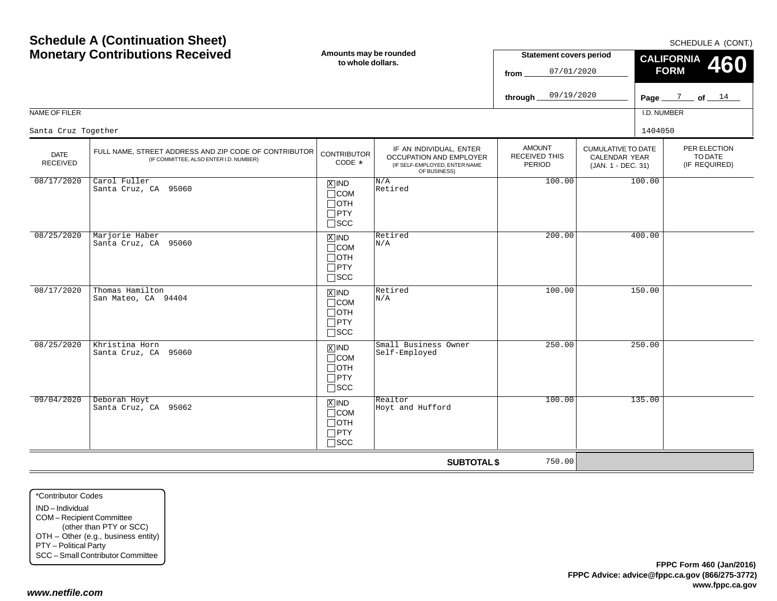|                                | <u>MUNGLANY CUNNIDULIONS NECENED</u>                                                            | to whole dollars.                                                  |                                                                                                     | Statement Covers period<br>07/01/2020<br>from. |                                                                         |             | $\overline{\phantom{0}}^{\text{CALIFORNIA}}$ 460<br><b>FORM</b> |
|--------------------------------|-------------------------------------------------------------------------------------------------|--------------------------------------------------------------------|-----------------------------------------------------------------------------------------------------|------------------------------------------------|-------------------------------------------------------------------------|-------------|-----------------------------------------------------------------|
|                                |                                                                                                 |                                                                    |                                                                                                     | 09/19/2020<br>through_                         |                                                                         |             | Page $\frac{7}{2}$ of $\frac{14}{2}$                            |
| NAME OF FILER                  |                                                                                                 |                                                                    |                                                                                                     |                                                |                                                                         | I.D. NUMBER |                                                                 |
| Santa Cruz Together            |                                                                                                 |                                                                    |                                                                                                     |                                                |                                                                         | 1404050     |                                                                 |
| <b>DATE</b><br><b>RECEIVED</b> | FULL NAME, STREET ADDRESS AND ZIP CODE OF CONTRIBUTOR<br>(IF COMMITTEE, ALSO ENTER I.D. NUMBER) | <b>CONTRIBUTOR</b><br>CODE *                                       | IF AN INDIVIDUAL, ENTER<br>OCCUPATION AND EMPLOYER<br>(IF SELF-EMPLOYED, ENTER NAME<br>OF BUSINESS) | <b>AMOUNT</b><br>RECEIVED THIS<br>PERIOD       | <b>CUMULATIVE TO DATE</b><br><b>CALENDAR YEAR</b><br>(JAN. 1 - DEC. 31) |             | PER ELECTION<br>TO DATE<br>(IF REQUIRED)                        |
| 08/17/2020                     | Carol Fuller<br>Santa Cruz, CA 95060                                                            | $X$ IND<br>$\Box$ COM<br>$\Box$ OTH<br>$\Box$ PTY<br>$\square$ scc | N/A<br>Retired                                                                                      | 100.00                                         |                                                                         | 100.00      |                                                                 |
| 08/25/2020                     | Marjorie Haber<br>Santa Cruz, CA 95060                                                          | $X$ IND<br>$\Box$ COM<br>$\Box$ OTH<br>$\Box$ PTY<br>$\square$ scc | Retired<br>N/A                                                                                      | 200.00                                         |                                                                         | 400.00      |                                                                 |
| 08/17/2020                     | Thomas Hamilton<br>San Mateo, CA 94404                                                          | $X$ IND<br>$\Box$ COM<br>$\Box$ OTH<br>$\Box$ PTY<br>$\square$ SCC | Retired<br>N/A                                                                                      | 100.00                                         |                                                                         | 150.00      |                                                                 |
| 08/25/2020                     | Khristina Horn<br>Santa Cruz, CA 95060                                                          | $X$ IND<br>$\Box$ COM<br>$\Box$ OTH<br>$\Box$ PTY<br>$\square$ SCC | Small Business Owner<br>Self-Employed                                                               | 250.00                                         |                                                                         | 250.00      |                                                                 |
| 09/04/2020                     | Deborah Hoyt<br>Santa Cruz, CA 95062                                                            | $X$ IND<br>$\Box$ COM<br>$\Box$ OTH<br>$\Box$ PTY<br>$\Box$ scc    | Realtor<br>Hoyt and Hufford                                                                         | 100.00                                         |                                                                         | 135.00      |                                                                 |

**SUBTOTAL \$**

750.00

**Amounts may be rounded**

\*Contributor CodesIND – IndividualCOM – Recipient Committee (other than PTY or SCC) OTH – Other (e.g., business entity) PTY – Political Party SCC – Small Contributor Committee

SCHEDULE A (CONT.)

**Statement covers period**

## **Schedule A (Continuation Sheet) Monetary Contributions Received**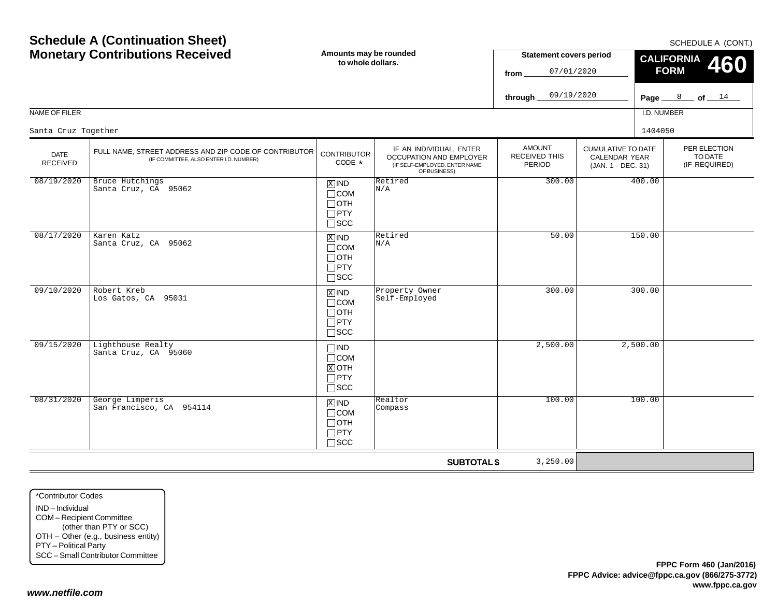| <b>DATE</b><br><b>RECEIVED</b> | FULL NAME, STREET ADDRESS AND ZIP CODE OF CONTRIBUTOR<br>(IF COMMITTEE, ALSO ENTER I.D. NUMBER) | <b>CONTRIBUTOR</b><br>CODE *                                       | IF AN INDIVIDUAL, ENTER<br>OCCUPATION AND EMPLOYER<br>(IF SELF-EMPLOYED, ENTER NAME<br>OF BUSINESS) | <b>AMOUNT</b><br>RECEIVED THIS<br>PERIOD | <b>CUMULATIVE TO DATE</b><br>CALENDAR YEAR<br>(JAN. 1 - DEC. 31) |
|--------------------------------|-------------------------------------------------------------------------------------------------|--------------------------------------------------------------------|-----------------------------------------------------------------------------------------------------|------------------------------------------|------------------------------------------------------------------|
| 08/19/2020                     | Bruce Hutchings<br>Santa Cruz, CA 95062                                                         | $X$ IND<br>$\Box$ COM<br>$\Box$ OTH<br>$\Box$ PTY<br>$\Box$ scc    | Retired<br>N/A                                                                                      | 300.00                                   | 400.00                                                           |
| 08/17/2020                     | Karen Katz<br>Santa Cruz, CA 95062                                                              | $X$ IND<br>$\Box$ COM<br>$\Box$ OTH<br>$\Box$ PTY<br>$\Box$ scc    | Retired<br>N/A                                                                                      | 50.00                                    | 150.00                                                           |
| 09/10/2020                     | Robert Kreb<br>Los Gatos, CA 95031                                                              | $X$ IND<br>$\Box$ COM<br>$\Box$ OTH<br>$\Box$ PTY<br>$\square$ SCC | Property Owner<br>Self-Employed                                                                     | 300.00                                   | 300.00                                                           |
| 09/15/2020                     | Lighthouse Realty<br>Santa Cruz, CA 95060                                                       | $\Box$ IND<br>$\Box$ COM<br>$X$ OTH<br>$\Box$ PTY<br>$\Box$ scc    |                                                                                                     | 2,500.00                                 | 2,500.00                                                         |
| 08/31/2020                     | George Limperis<br>San Francisco, CA 954114                                                     | $X$ IND<br>$\Box$ COM<br>$\Box$ OTH<br>$\Box$ PTY<br>$\Box$ scc    | Realtor<br>Compass                                                                                  | 100.00                                   | 100.00                                                           |
|                                |                                                                                                 |                                                                    | <b>SUBTOTAL \$</b>                                                                                  | 3,250.00                                 |                                                                  |

**Amounts may be rounded to whole dollars.**

# **Schedule A (Continuation Sheet) Monetary Contributions Received**

NAME OF FILER

Santa Cruz Together

SCHEDULE A (CONT.)

PER ELECTIONTO DATE(IF REQUIRED)

**460**

Page <u>\_\_\_\_8 \_</u>\_\_ of \_\_<u>\_\_14</u>

I.D. NUMBER

**CALIFORNIA FORM**

**Statement covers period**

07/01/2020

09/19/2020

**from**

**through**

PTY – Political Party SCC – Small Contributor Committee

#### *www.netfile.com*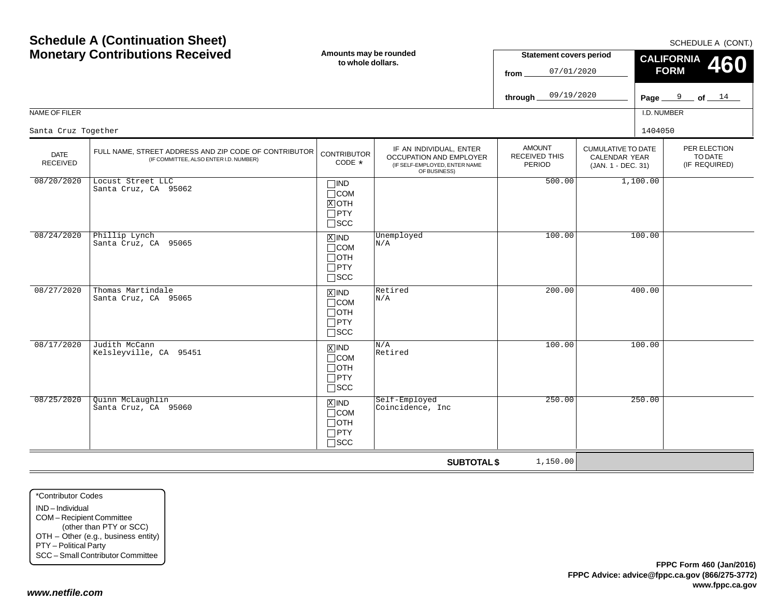PER ELECTIONTO DATE (IF REQUIRED) CUMULATIVE TO DATECALENDAR YEAR (JAN. 1 - DEC. 31) AMOUNTRECEIVED THISPERIODIF AN INDIVIDUAL, ENTER OCCUPATION AND EMPLOYER (IF SELF-EMPLOYED, ENTER NAME OF BUSINESS) FULL NAME, STREET ADDRESS AND ZIP CODE OF CONTRIBUTOR (IF COMMITTEE, ALSO ENTER I.D. NUMBER) **CONTRIBUTOR** CODE\* $\Box$ IND  $\Box$ COM  $\overline{\text{X}}$  oth  $\Box$  PTY  $\Box$ scc xiind COM  $\Box$ OTH  $\Box$ PTY SCC  $\overline{\mathbb{X}}$  IND  $\mathbb{R}^{\text{Retired}}$  $\Box$ COM OTH PTY  $\Box$ SCC IND  $\Box$ COM OTH  $\Box$ PTY SCC IND $\Box$ COM OTH PTY  $\Box$ SCC  $r$  1404050 Santa Cruz, CA 95062500.00 1,100.00 Santa Cruz, CA 95065 Unemployed N/A100.00 100.00 Santa Cruz, CA 95065tired 200.00 400.00 Kelsleyville, CA 95451 $\begin{array}{|l|c|c|c|}\n1 & 100.00 & 100.00 & \text{Retired} \ \hline\n\end{array}$ Santa Cruz, CA 95060 $\begin{array}{|c|c|c|c|}\n\hline\n\text{X} & \text{ND} & \text{Self-Emploved} & & & & 250.00 \\
\hline\n\text{COM} & \text{Coincidence, Inc} & & & & & \n\end{array}$ 

**Amounts may be rounded to whole dollars.**

NAME OF FILER

Locust Street LLC

Phillip Lynch

Thomas Martindale

Judith McCann

Quinn McLaughlin

Santa Cruz Together

DATERECEIVED

08/20/2020

08/24/2020

08/27/2020

08/17/2020

08/25/2020

# **Schedule A (Continuation Sheet) Monetary Contributions Received**

SCHEDULE A (CONT.)

**460**

Page <u>\_\_\_\_9</u> \_\_\_ of \_\_<u>\_\_14</u>

I.D. NUMBER

**CALIFORNIA FORM**

**Statement covers period**

07/01/2020

09/19/2020

**from**

**through**

**SUBTOTAL \$**

1,150.00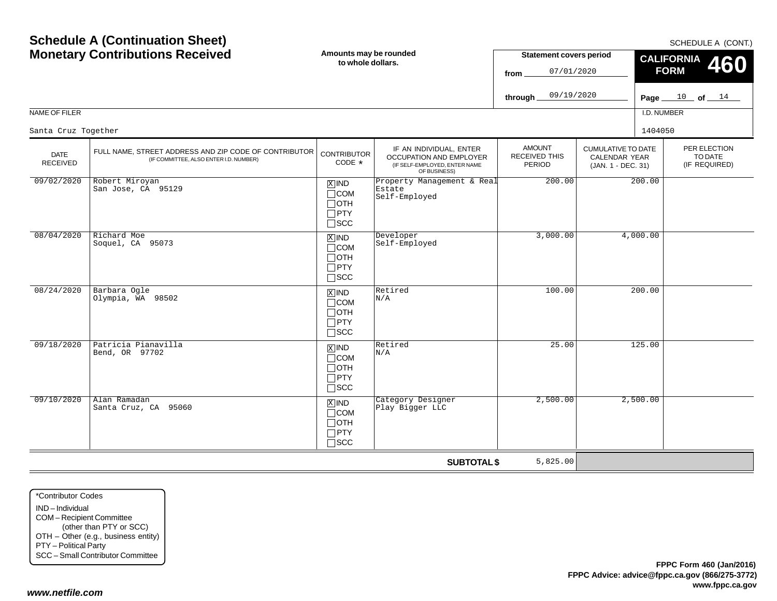| <b>SUBTOTAL \$</b> | 5,825.00                                       |  |
|--------------------|------------------------------------------------|--|
|                    |                                                |  |
|                    |                                                |  |
|                    |                                                |  |
|                    |                                                |  |
|                    |                                                |  |
|                    |                                                |  |
|                    | FPPC Form 460 (Jan/2016)                       |  |
|                    | FPPC Advice: advice@fppc.ca.gov (866/275-3772) |  |
|                    | www.fppc.ca.gov                                |  |

### \*Contributor CodesIND – IndividualCOM – Recipient Committee (other than PTY or SCC) OTH – Other (e.g., business entity) PTY – Political Party SCC – Small Contributor Committee $\Box$ PTY  $\Box$ SCC IND $\Box$ COM  $\Box$ SCC 09/18/2020 Patricia Pianavilla Bend, OR 9770209/10/2020 Alan Ramadan Santa Cruz, CA 95060 $\begin{array}{|l|c|c|c|}\hline \mathbb{X} & \mathbb{N} & \mathbb{C}^2 \\\hline \mathbb{X} & \mathbb{N} & \mathbb{R}^2 \\\hline \mathbb{N} & \mathbb{R}^2 \\\hline \mathbb{N} & \mathbb{C} \\\hline \mathbb{N} & \mathbb{C} \\\hline \mathbb{N} & \mathbb{R} \\\hline \mathbb{N} & \mathbb{R} \\\hline \mathbb{N} & \mathbb{N} \\\hline \mathbb{N} & \mathbb{N} \\\hline \mathbb{N} & \mathbb{N} \\\hline \mathbb{N} & \mathbb{N}$

Page <u>\_\_\_\_10 \_</u>\_ of \_\_<u>\_14</u> NAME OF FILERI.D. NUMBER**through** PER ELECTION (IF REQUIRED) CUMULATIVE TO DATECALENDAR YEAR (JAN. 1 - DEC. 31) AMOUNTRECEIVED THISPERIODIF AN INDIVIDUAL, ENTER OCCUPATION AND EMPLOYER (IF SELF-EMPLOYED, ENTER NAME OF BUSINESS) DATE RECEIVEDFULL NAME, STREET ADDRESS AND ZIP CODE OF CONTRIBUTOR (IF COMMITTEE, ALSO ENTER I.D. NUMBER) **CONTRIBUTOR** CODE\*IND X $\Box$ COM OTHPTY  $\Box$ SCC xiind COM  $\Box$ OTH  $\Box$ PTY SCC IND COM OTH PTY  $\Box$ SCC IND  $\Box$ COM 09/19/2020Santa Cruz Together $r$  1404050 09/02/2020 Robert Miroyan San Jose, CA 95129 Property Management & Real Estate Self-Employed200.00 200.00 08/04/2020 Richard Moe Soquel, CA 95073X|**IND** |Developer<br>|-<br>|COM |Self-Employed 3,000.00 4,000.00 08/24/2020 Barbara Ogle Olympia, WA 98502 <sup>X</sup> Retired N/A 100.00 200.00 villa  $\begin{array}{c|c} \text{with} & \text{with} \\ \hline \text{with} & \text{with} \\ \hline \text{with} & \text{with} \\ \hline \text{with} & \text{with} \\ \hline \text{with} & \text{with} \\ \hline \text{with} & \text{with} \\ \hline \text{with} & \text{with} \\ \hline \text{with} & \text{with} \\ \hline \text{with} & \text{with} \\ \hline \text{with} & \text{with} \\ \hline \text{with} & \text{with} \\ \hline \text{with} & \text{with} \\ \hline \text{with} & \text{with} \\ \hline \text{with} & \text{with$ 

OTH

OTH PTY

**Amounts may be rounded to whole dollars.**

## **Schedule A (Continuation Sheet) Monetary Contributions Received**

SCHEDULE A (CONT.)

TO DATE

**460**

**CALIFORNIA FORM**

**Statement covers period**

07/01/2020

**from**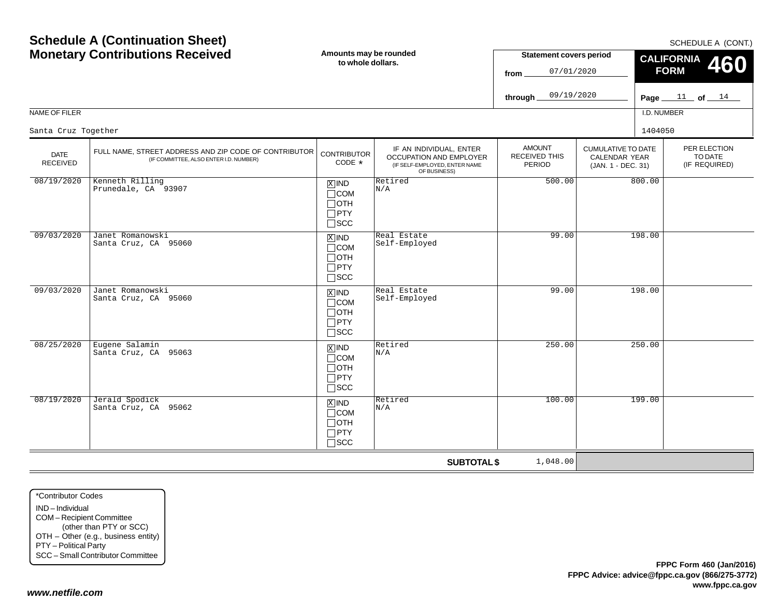|                                                      | <b>MONGLARY CONTRIBUTIONS RECEIVED</b>                                                          | to whole dollars.                                                             |                                                                                                     | JULIE DE ISLAMINATO DE PRINCIPAL<br>07/01/2020<br>from<br>09/19/2020<br>through $\equiv$ |                                                                  | $\overline{\phantom{0}}^{\text{CALIFORNIA}}$ 460<br><b>FORM</b> |                                          |  |
|------------------------------------------------------|-------------------------------------------------------------------------------------------------|-------------------------------------------------------------------------------|-----------------------------------------------------------------------------------------------------|------------------------------------------------------------------------------------------|------------------------------------------------------------------|-----------------------------------------------------------------|------------------------------------------|--|
|                                                      |                                                                                                 |                                                                               |                                                                                                     |                                                                                          |                                                                  |                                                                 | Page $11$ of $14$                        |  |
| NAME OF FILER                                        |                                                                                                 |                                                                               |                                                                                                     |                                                                                          |                                                                  | I.D. NUMBER                                                     |                                          |  |
| Santa Cruz Together                                  |                                                                                                 |                                                                               |                                                                                                     |                                                                                          |                                                                  | 1404050                                                         |                                          |  |
| <b>DATE</b><br><b>RECEIVED</b>                       | FULL NAME, STREET ADDRESS AND ZIP CODE OF CONTRIBUTOR<br>(IF COMMITTEE, ALSO ENTER I.D. NUMBER) | <b>CONTRIBUTOR</b><br>CODE *                                                  | IF AN INDIVIDUAL, ENTER<br>OCCUPATION AND EMPLOYER<br>(IF SELF-EMPLOYED, ENTER NAME<br>OF BUSINESS) | <b>AMOUNT</b><br>RECEIVED THIS<br>PERIOD                                                 | <b>CUMULATIVE TO DATE</b><br>CALENDAR YEAR<br>(JAN. 1 - DEC. 31) |                                                                 | PER ELECTION<br>TO DATE<br>(IF REQUIRED) |  |
| 08/19/2020                                           | Kenneth Rilling<br>Prunedale, CA 93907                                                          | $X$ IND<br>$\Box$ COM<br>$\Box$ OTH<br>$\Box$ PTY<br>$\Box$ SCC               | Retired<br>N/A                                                                                      | 500.00                                                                                   |                                                                  | 800.00                                                          |                                          |  |
| 09/03/2020                                           | Janet Romanowski<br>Santa Cruz, CA 95060                                                        | $X$ IND<br>$\Box$ COM<br>$\Box$ OTH<br>$\Box$ PTY<br>$\Box$ SCC               | Real Estate<br>Self-Employed                                                                        | 99.00                                                                                    |                                                                  | 198.00                                                          |                                          |  |
| 09/03/2020                                           | Janet Romanowski<br>Santa Cruz, CA 95060                                                        | $X$ IND<br>$\Box$ COM<br>$\Box$ OTH<br>$\Box$ PTY<br>$\Box$ scc               | Real Estate<br>Self-Employed                                                                        | 99.00                                                                                    |                                                                  | 198.00                                                          |                                          |  |
| Eugene Salamin<br>08/25/2020<br>Santa Cruz, CA 95063 |                                                                                                 | $\overline{X}$ IND<br>$\Box$ COM<br>$\Box$ OTH<br>$\Box$ PTY<br>$\square$ SCC | Retired<br>N/A                                                                                      | 250.00                                                                                   |                                                                  | 250.00                                                          |                                          |  |
| 08/19/2020                                           | Jerald Spodick<br>Santa Cruz, CA 95062                                                          | $X$ IND<br>$\Box$ COM<br>$\Box$ OTH<br>$\Box$ PTY<br>$\Box$ SCC               | Retired<br>N/A                                                                                      | 100.00                                                                                   |                                                                  | 199.00                                                          |                                          |  |
|                                                      |                                                                                                 |                                                                               | <b>SUBTOTAL \$</b>                                                                                  | 1,048.00                                                                                 |                                                                  |                                                                 |                                          |  |

**Amounts may be rounded**

**Schedule A (Continuation Sheet) Monetary Contributions Received**

(other than PTY or SCC) OTH – Other (e.g., business entity) SCC – Small Contributor Committee

*www.netfile.com*

#### SCHEDULE A (CONT.)

**Statement covers period**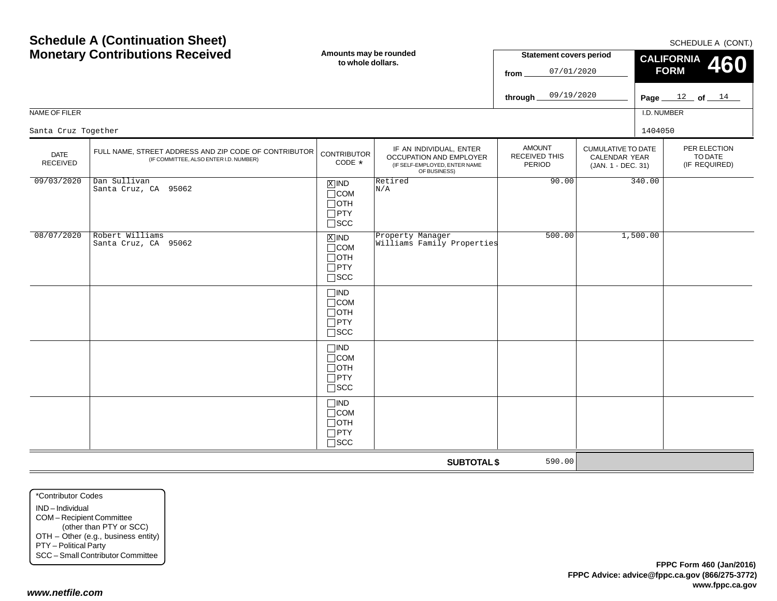**FPPC Advice: advice@fppc.ca.gov (866/275-3772) www.fppc.ca.gov FPPC Form 460 (Jan/2016)**

*www.netfile.com*

Page <u>\_\_\_\_12 \_</u>\_ of \_\_<u>\_\_14</u> **Amounts may be rounded to whole dollars.**NAME OF FILERI.D. NUMBER**Statement covers period fromthrough CALIFORNIA FORM 460** PER ELECTIONTO DATE (IF REQUIRED) CUMULATIVE TO DATECALENDAR YEAR (JAN. 1 - DEC. 31) AMOUNTRECEIVED THISPERIODIF AN INDIVIDUAL, ENTER OCCUPATION AND EMPLOYER (IF SELF-EMPLOYED, ENTER NAME OF BUSINESS) DATE RECEIVED**SUBTOTAL \$** FULL NAME, STREET ADDRESS AND ZIP CODE OF CONTRIBUTOR (IF COMMITTEE, ALSO ENTER I.D. NUMBER) **CONTRIBUTOR** CODE\* $\overline{\mathbb{X}}$  IND  $\begin{matrix} \mathbb{R} \text{etired} \\ \mathbb{N}/\mathbb{A} \end{matrix}$  $\Box$ COM OTHPTY SCC xiind COM  $\Box$ OTH  $\Box$ PTY SCC IND COM OTH PTY  $\Box$ SCC IND  $\Box$ COM OTH  $\Box$ PTY SCC  $\Box$ IND  $\Box$ COM OTH PTY SCC 07/01/202009/19/2020Santa Cruz Together $r$  1404050 09/03/2020 Dan Sullivan Santa Cruz, CA 95062tired 90.00 340.00 08/07/2020 Robert Williams Santa Cruz, CA 95062 Property Manager Williams Family Properties500.00 1,500.00 590.00

SCHEDULE A (CONT.)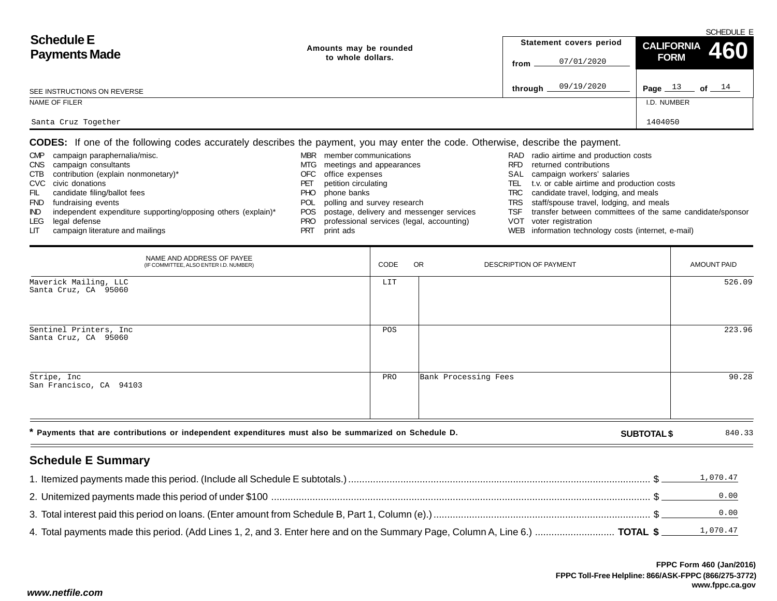| <b>Schedule E</b>           | Amounts may be rounded<br>to whole dollars. |         | Statement covers period | CALIFORNIA 460        | SUMEDULE E |
|-----------------------------|---------------------------------------------|---------|-------------------------|-----------------------|------------|
| <b>Payments Made</b>        |                                             | from    | 07/01/2020              | <b>FORM</b>           |            |
| SEE INSTRUCTIONS ON REVERSE |                                             | through | 09/19/2020              | 13<br>of $14$<br>Page |            |
| NAME OF FILER               |                                             |         |                         | I.D. NUMBER           |            |
| Santa Cruz Together         |                                             |         |                         | 1404050               |            |

**CODES:** If one of the following codes accurately describes the payment, you may enter the code. Otherwise, describe the payment.

| <b>CMP</b><br><b>CNS</b> | campaign paraphernalia/misc.<br>campaign consultants          | MBR        | member communications<br>MTG meetings and appearances | RFD | RAD radio airtime and production costs<br>returned contributions             |
|--------------------------|---------------------------------------------------------------|------------|-------------------------------------------------------|-----|------------------------------------------------------------------------------|
| CTB                      | contribution (explain nonmonetary)*<br>CVC civic donations    | PЕТ        | OFC office expenses<br>petition circulating           | TEL | SAL campaign workers' salaries<br>t.v. or cable airtime and production costs |
| FIL                      | candidate filing/ballot fees                                  | PHO.       | phone banks                                           |     | TRC candidate travel, lodging, and meals                                     |
|                          | FND fundraising events                                        | POL.       | polling and survey research                           |     | TRS staff/spouse travel, lodging, and meals                                  |
| IND.                     | independent expenditure supporting/opposing others (explain)* |            | POS postage, delivery and messenger services          | TSF | transfer between committees of the same candidate/sponsor                    |
| LEG                      | legal defense                                                 |            | PRO professional services (legal, accounting)         |     | VOT voter registration                                                       |
| LIT.                     | campaign literature and mailings                              | <b>PRT</b> | print ads                                             |     | WEB information technology costs (internet, e-mail)                          |

| NAME AND ADDRESS OF PAYEE<br>(IF COMMITTEE, ALSO ENTER I.D. NUMBER)                                                        | CODE | <b>OR</b><br>DESCRIPTION OF PAYMENT | <b>AMOUNT PAID</b> |
|----------------------------------------------------------------------------------------------------------------------------|------|-------------------------------------|--------------------|
| Maverick Mailing, LLC<br>Santa Cruz, CA 95060                                                                              | LIT  |                                     | 526.09             |
| Sentinel Printers, Inc.<br>Santa Cruz, CA 95060                                                                            | POS  |                                     | 223.96             |
| Stripe, Inc<br>San Francisco, CA 94103                                                                                     | PRO  | Bank Processing Fees                | 90.28              |
| * Payments that are contributions or independent expenditures must also be summarized on Schedule D.<br><b>SUBTOTAL \$</b> |      |                                     |                    |

# **Schedule E Summary**

|                                                                                                                              | 1,070.47 |
|------------------------------------------------------------------------------------------------------------------------------|----------|
|                                                                                                                              |          |
|                                                                                                                              |          |
| 4. Total payments made this period. (Add Lines 1, 2, and 3. Enter here and on the Summary Page, Column A, Line 6.)  TOTAL \$ |          |

SCHEDULE E